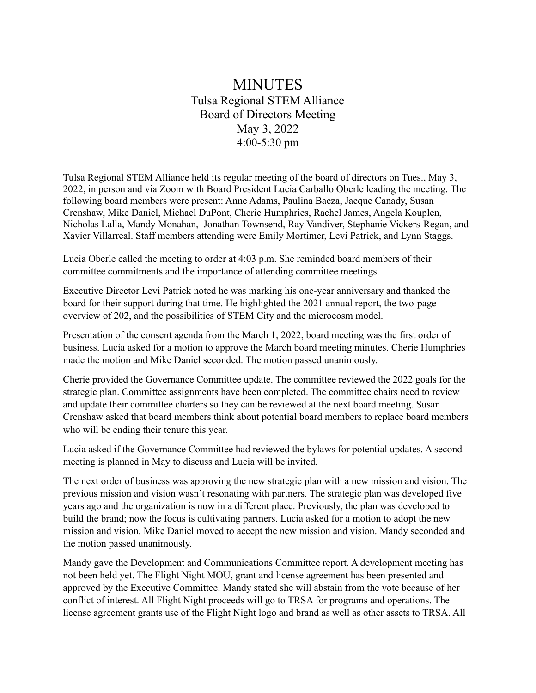## MINUTES Tulsa Regional STEM Alliance Board of Directors Meeting May 3, 2022 4:00-5:30 pm

Tulsa Regional STEM Alliance held its regular meeting of the board of directors on Tues., May 3, 2022, in person and via Zoom with Board President Lucia Carballo Oberle leading the meeting. The following board members were present: Anne Adams, Paulina Baeza, Jacque Canady, Susan Crenshaw, Mike Daniel, Michael DuPont, Cherie Humphries, Rachel James, Angela Kouplen, Nicholas Lalla, Mandy Monahan, Jonathan Townsend, Ray Vandiver, Stephanie Vickers-Regan, and Xavier Villarreal. Staff members attending were Emily Mortimer, Levi Patrick, and Lynn Staggs.

Lucia Oberle called the meeting to order at 4:03 p.m. She reminded board members of their committee commitments and the importance of attending committee meetings.

Executive Director Levi Patrick noted he was marking his one-year anniversary and thanked the board for their support during that time. He highlighted the 2021 annual report, the two-page overview of 202, and the possibilities of STEM City and the microcosm model.

Presentation of the consent agenda from the March 1, 2022, board meeting was the first order of business. Lucia asked for a motion to approve the March board meeting minutes. Cherie Humphries made the motion and Mike Daniel seconded. The motion passed unanimously.

Cherie provided the Governance Committee update. The committee reviewed the 2022 goals for the strategic plan. Committee assignments have been completed. The committee chairs need to review and update their committee charters so they can be reviewed at the next board meeting. Susan Crenshaw asked that board members think about potential board members to replace board members who will be ending their tenure this year.

Lucia asked if the Governance Committee had reviewed the bylaws for potential updates. A second meeting is planned in May to discuss and Lucia will be invited.

The next order of business was approving the new strategic plan with a new mission and vision. The previous mission and vision wasn't resonating with partners. The strategic plan was developed five years ago and the organization is now in a different place. Previously, the plan was developed to build the brand; now the focus is cultivating partners. Lucia asked for a motion to adopt the new mission and vision. Mike Daniel moved to accept the new mission and vision. Mandy seconded and the motion passed unanimously.

Mandy gave the Development and Communications Committee report. A development meeting has not been held yet. The Flight Night MOU, grant and license agreement has been presented and approved by the Executive Committee. Mandy stated she will abstain from the vote because of her conflict of interest. All Flight Night proceeds will go to TRSA for programs and operations. The license agreement grants use of the Flight Night logo and brand as well as other assets to TRSA. All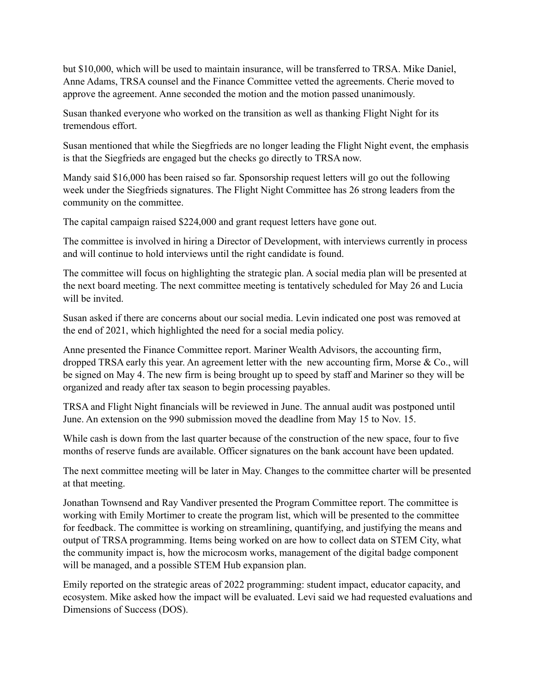but \$10,000, which will be used to maintain insurance, will be transferred to TRSA. Mike Daniel, Anne Adams, TRSA counsel and the Finance Committee vetted the agreements. Cherie moved to approve the agreement. Anne seconded the motion and the motion passed unanimously.

Susan thanked everyone who worked on the transition as well as thanking Flight Night for its tremendous effort.

Susan mentioned that while the Siegfrieds are no longer leading the Flight Night event, the emphasis is that the Siegfrieds are engaged but the checks go directly to TRSA now.

Mandy said \$16,000 has been raised so far. Sponsorship request letters will go out the following week under the Siegfrieds signatures. The Flight Night Committee has 26 strong leaders from the community on the committee.

The capital campaign raised \$224,000 and grant request letters have gone out.

The committee is involved in hiring a Director of Development, with interviews currently in process and will continue to hold interviews until the right candidate is found.

The committee will focus on highlighting the strategic plan. A social media plan will be presented at the next board meeting. The next committee meeting is tentatively scheduled for May 26 and Lucia will be invited.

Susan asked if there are concerns about our social media. Levin indicated one post was removed at the end of 2021, which highlighted the need for a social media policy.

Anne presented the Finance Committee report. Mariner Wealth Advisors, the accounting firm, dropped TRSA early this year. An agreement letter with the new accounting firm, Morse & Co., will be signed on May 4. The new firm is being brought up to speed by staff and Mariner so they will be organized and ready after tax season to begin processing payables.

TRSA and Flight Night financials will be reviewed in June. The annual audit was postponed until June. An extension on the 990 submission moved the deadline from May 15 to Nov. 15.

While cash is down from the last quarter because of the construction of the new space, four to five months of reserve funds are available. Officer signatures on the bank account have been updated.

The next committee meeting will be later in May. Changes to the committee charter will be presented at that meeting.

Jonathan Townsend and Ray Vandiver presented the Program Committee report. The committee is working with Emily Mortimer to create the program list, which will be presented to the committee for feedback. The committee is working on streamlining, quantifying, and justifying the means and output of TRSA programming. Items being worked on are how to collect data on STEM City, what the community impact is, how the microcosm works, management of the digital badge component will be managed, and a possible STEM Hub expansion plan.

Emily reported on the strategic areas of 2022 programming: student impact, educator capacity, and ecosystem. Mike asked how the impact will be evaluated. Levi said we had requested evaluations and Dimensions of Success (DOS).